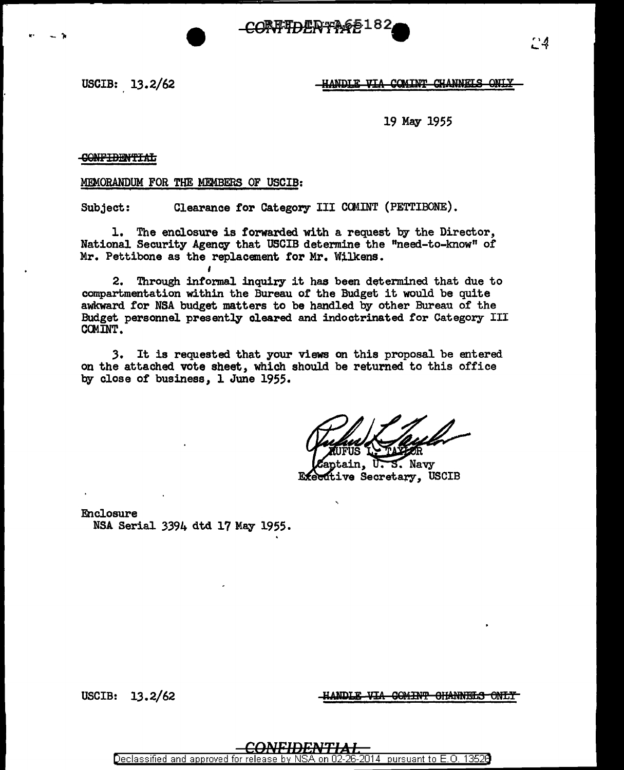66182 **CORFTDERT!** 

USCIB:  $13.2/62$ 

.. - ,.



19 May 1955

**CONFIDENTIAL** 

MEMORANDUM FOR THE MEMBERS OF USCIB:

Subject: Clearance for Category III COMINT (PETTIBONE).

1. The enclosure is forwarded with a request by the Director, National Security Agency that USCIB determine the "need-to-know" of Mr. Pettibone as the replacement for Mr. Wilkens.

2. Through informal inquiry it has been determined that due to compartmentation within the Bureau of the Budget it would be quite awkward for NSA budget matters to be handled by other Bureau of the Budget personnel presently cleared and indoctrinated for Category III CCMINT.

.3. It is requested that your views on this proposal be entered on the attached vote sheet, which should be returned to this office by close of business, 1 June 1955.

Navy Executive Secretary, USCIB

Enclosure NSA Serial 3394 dtd 17 May 1955.

USCIB: 13.2/62 **INVERTIE ANDLE VIA GOMINT GHANNELS ONLY** 

Declassified and approved for releas 2014 | pursuant to E.O. 13526